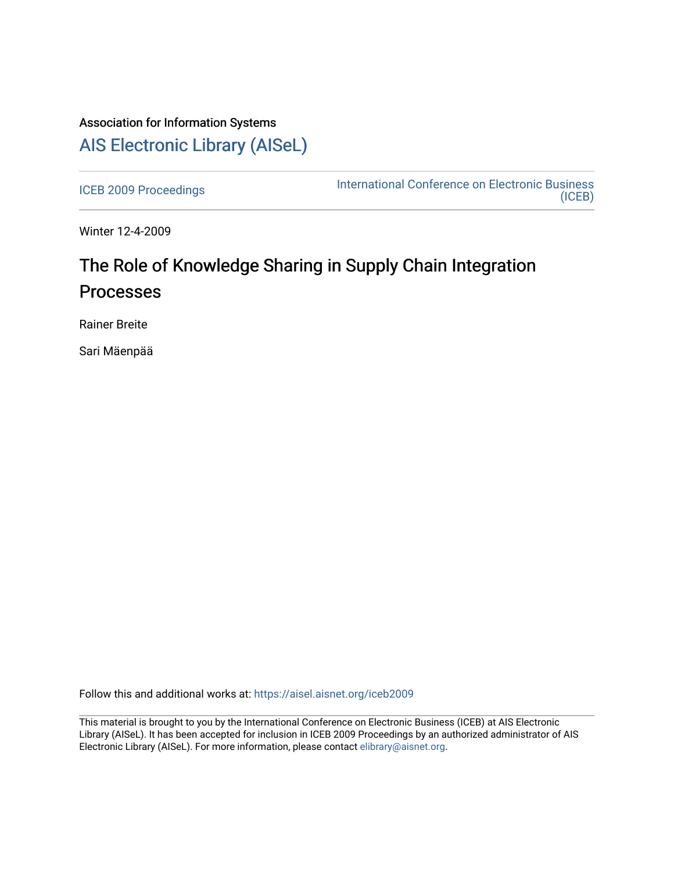## Association for Information Systems [AIS Electronic Library \(AISeL\)](https://aisel.aisnet.org/)

[ICEB 2009 Proceedings](https://aisel.aisnet.org/iceb2009) **International Conference on Electronic Business** [\(ICEB\)](https://aisel.aisnet.org/iceb) 

Winter 12-4-2009

# The Role of Knowledge Sharing in Supply Chain Integration Processes

Rainer Breite

Sari Mäenpää

Follow this and additional works at: [https://aisel.aisnet.org/iceb2009](https://aisel.aisnet.org/iceb2009?utm_source=aisel.aisnet.org%2Ficeb2009%2F152&utm_medium=PDF&utm_campaign=PDFCoverPages)

This material is brought to you by the International Conference on Electronic Business (ICEB) at AIS Electronic Library (AISeL). It has been accepted for inclusion in ICEB 2009 Proceedings by an authorized administrator of AIS Electronic Library (AISeL). For more information, please contact [elibrary@aisnet.org.](mailto:elibrary@aisnet.org%3E)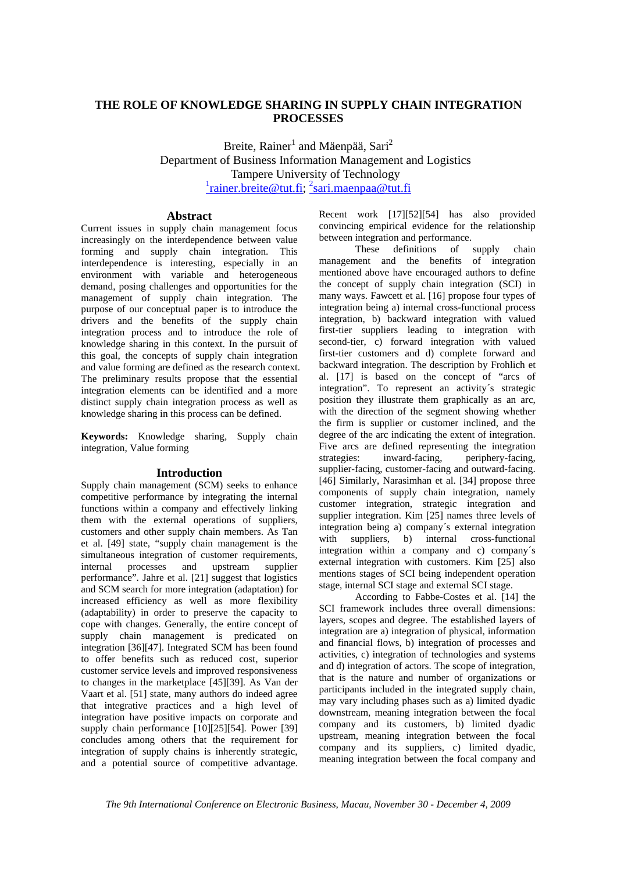## **THE ROLE OF KNOWLEDGE SHARING IN SUPPLY CHAIN INTEGRATION PROCESSES**

Breite, Rainer<sup>1</sup> and Mäenpää, Sari<sup>2</sup> Department of Business Information Management and Logistics Tampere University of Technology <sup>1</sup>rainer.breite@tut.fi; <sup>2</sup>sari.maenpaa@tut.fi

## **Abstract**

Current issues in supply chain management focus increasingly on the interdependence between value forming and supply chain integration. This interdependence is interesting, especially in an environment with variable and heterogeneous demand, posing challenges and opportunities for the management of supply chain integration. The purpose of our conceptual paper is to introduce the drivers and the benefits of the supply chain integration process and to introduce the role of knowledge sharing in this context. In the pursuit of this goal, the concepts of supply chain integration and value forming are defined as the research context. The preliminary results propose that the essential integration elements can be identified and a more distinct supply chain integration process as well as knowledge sharing in this process can be defined.

**Keywords:** Knowledge sharing, Supply chain integration, Value forming

#### **Introduction**

Supply chain management (SCM) seeks to enhance competitive performance by integrating the internal functions within a company and effectively linking them with the external operations of suppliers, customers and other supply chain members. As Tan et al. [49] state, "supply chain management is the simultaneous integration of customer requirements, internal processes and upstream supplier performance". Jahre et al. [21] suggest that logistics and SCM search for more integration (adaptation) for increased efficiency as well as more flexibility (adaptability) in order to preserve the capacity to cope with changes. Generally, the entire concept of supply chain management is predicated on integration [36][47]. Integrated SCM has been found to offer benefits such as reduced cost, superior customer service levels and improved responsiveness to changes in the marketplace [45][39]. As Van der Vaart et al. [51] state, many authors do indeed agree that integrative practices and a high level of integration have positive impacts on corporate and supply chain performance [10][25][54]. Power [39] concludes among others that the requirement for integration of supply chains is inherently strategic, and a potential source of competitive advantage.

Recent work [17][52][54] has also provided convincing empirical evidence for the relationship between integration and performance.

These definitions of supply chain management and the benefits of integration mentioned above have encouraged authors to define the concept of supply chain integration (SCI) in many ways. Fawcett et al. [16] propose four types of integration being a) internal cross-functional process integration, b) backward integration with valued first-tier suppliers leading to integration with second-tier, c) forward integration with valued first-tier customers and d) complete forward and backward integration. The description by Frohlich et al. [17] is based on the concept of "arcs of integration". To represent an activity´s strategic position they illustrate them graphically as an arc, with the direction of the segment showing whether the firm is supplier or customer inclined, and the degree of the arc indicating the extent of integration. Five arcs are defined representing the integration strategies: inward-facing, periphery-facing, supplier-facing, customer-facing and outward-facing. [46] Similarly, Narasimhan et al. [34] propose three components of supply chain integration, namely customer integration, strategic integration and supplier integration. Kim [25] names three levels of integration being a) company´s external integration with suppliers, b) internal cross-functional integration within a company and c) company´s external integration with customers. Kim [25] also mentions stages of SCI being independent operation stage, internal SCI stage and external SCI stage.

According to Fabbe-Costes et al. [14] the SCI framework includes three overall dimensions: layers, scopes and degree. The established layers of integration are a) integration of physical, information and financial flows, b) integration of processes and activities, c) integration of technologies and systems and d) integration of actors. The scope of integration, that is the nature and number of organizations or participants included in the integrated supply chain, may vary including phases such as a) limited dyadic downstream, meaning integration between the focal company and its customers, b) limited dyadic upstream, meaning integration between the focal company and its suppliers, c) limited dyadic, meaning integration between the focal company and

*The 9th International Conference on Electronic Business, Macau, November 30 - December 4, 2009*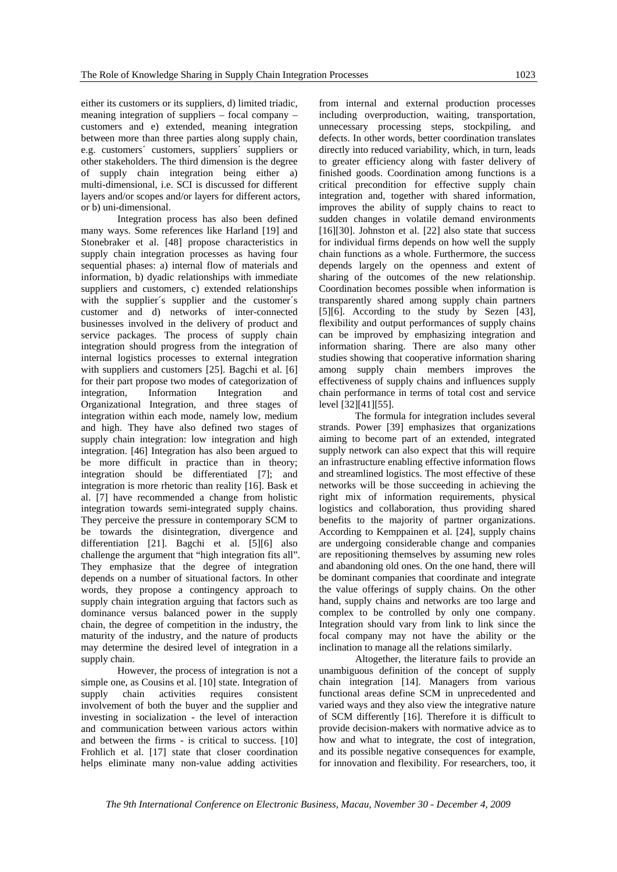either its customers or its suppliers, d) limited triadic, meaning integration of suppliers – focal company – customers and e) extended, meaning integration between more than three parties along supply chain, e.g. customers´ customers, suppliers´ suppliers or other stakeholders. The third dimension is the degree of supply chain integration being either a) multi-dimensional, i.e. SCI is discussed for different layers and/or scopes and/or layers for different actors, or b) uni-dimensional.

Integration process has also been defined many ways. Some references like Harland [19] and Stonebraker et al. [48] propose characteristics in supply chain integration processes as having four sequential phases: a) internal flow of materials and information, b) dyadic relationships with immediate suppliers and customers, c) extended relationships with the supplier's supplier and the customer's customer and d) networks of inter-connected businesses involved in the delivery of product and service packages. The process of supply chain integration should progress from the integration of internal logistics processes to external integration with suppliers and customers [25]. Bagchi et al. [6] for their part propose two modes of categorization of integration, Information Integration and Organizational Integration, and three stages of integration within each mode, namely low, medium and high. They have also defined two stages of supply chain integration: low integration and high integration. [46] Integration has also been argued to be more difficult in practice than in theory; integration should be differentiated [7]; and integration is more rhetoric than reality [16]. Bask et al. [7] have recommended a change from holistic integration towards semi-integrated supply chains. They perceive the pressure in contemporary SCM to be towards the disintegration, divergence and differentiation [21]. Bagchi et al. [5][6] also challenge the argument that "high integration fits all". They emphasize that the degree of integration depends on a number of situational factors. In other words, they propose a contingency approach to supply chain integration arguing that factors such as dominance versus balanced power in the supply chain, the degree of competition in the industry, the maturity of the industry, and the nature of products may determine the desired level of integration in a supply chain.

However, the process of integration is not a simple one, as Cousins et al. [10] state. Integration of supply chain activities requires consistent involvement of both the buyer and the supplier and investing in socialization - the level of interaction and communication between various actors within and between the firms - is critical to success. [10] Frohlich et al. [17] state that closer coordination helps eliminate many non-value adding activities

from internal and external production processes including overproduction, waiting, transportation, unnecessary processing steps, stockpiling, and defects. In other words, better coordination translates directly into reduced variability, which, in turn, leads to greater efficiency along with faster delivery of finished goods. Coordination among functions is a critical precondition for effective supply chain integration and, together with shared information, improves the ability of supply chains to react to sudden changes in volatile demand environments [16][30]. Johnston et al. [22] also state that success for individual firms depends on how well the supply chain functions as a whole. Furthermore, the success depends largely on the openness and extent of sharing of the outcomes of the new relationship. Coordination becomes possible when information is transparently shared among supply chain partners [5][6]. According to the study by Sezen [43], flexibility and output performances of supply chains can be improved by emphasizing integration and information sharing. There are also many other studies showing that cooperative information sharing among supply chain members improves the effectiveness of supply chains and influences supply chain performance in terms of total cost and service level [32][41][55].

The formula for integration includes several strands. Power [39] emphasizes that organizations aiming to become part of an extended, integrated supply network can also expect that this will require an infrastructure enabling effective information flows and streamlined logistics. The most effective of these networks will be those succeeding in achieving the right mix of information requirements, physical logistics and collaboration, thus providing shared benefits to the majority of partner organizations. According to Kemppainen et al. [24], supply chains are undergoing considerable change and companies are repositioning themselves by assuming new roles and abandoning old ones. On the one hand, there will be dominant companies that coordinate and integrate the value offerings of supply chains. On the other hand, supply chains and networks are too large and complex to be controlled by only one company. Integration should vary from link to link since the focal company may not have the ability or the inclination to manage all the relations similarly.

Altogether, the literature fails to provide an unambiguous definition of the concept of supply chain integration [14]. Managers from various functional areas define SCM in unprecedented and varied ways and they also view the integrative nature of SCM differently [16]. Therefore it is difficult to provide decision-makers with normative advice as to how and what to integrate, the cost of integration, and its possible negative consequences for example, for innovation and flexibility. For researchers, too, it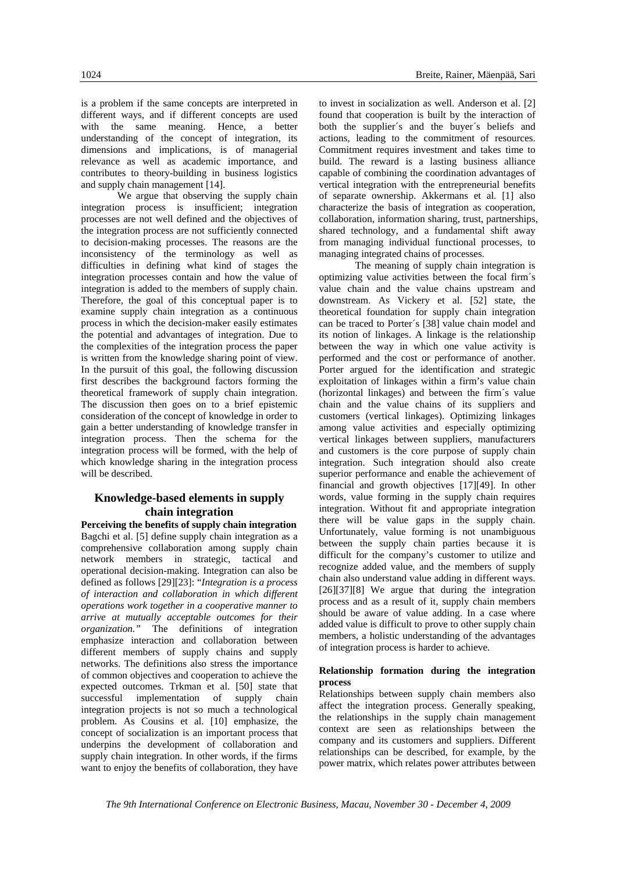is a problem if the same concepts are interpreted in different ways, and if different concepts are used with the same meaning. Hence, a better understanding of the concept of integration, its dimensions and implications, is of managerial relevance as well as academic importance, and contributes to theory-building in business logistics and supply chain management [14].

We argue that observing the supply chain integration process is insufficient; integration processes are not well defined and the objectives of the integration process are not sufficiently connected to decision-making processes. The reasons are the inconsistency of the terminology as well as difficulties in defining what kind of stages the integration processes contain and how the value of integration is added to the members of supply chain. Therefore, the goal of this conceptual paper is to examine supply chain integration as a continuous process in which the decision-maker easily estimates the potential and advantages of integration. Due to the complexities of the integration process the paper is written from the knowledge sharing point of view. In the pursuit of this goal, the following discussion first describes the background factors forming the theoretical framework of supply chain integration. The discussion then goes on to a brief epistemic consideration of the concept of knowledge in order to gain a better understanding of knowledge transfer in integration process. Then the schema for the integration process will be formed, with the help of which knowledge sharing in the integration process will be described.

## **Knowledge-based elements in supply chain integration**

**Perceiving the benefits of supply chain integration**  Bagchi et al. [5] define supply chain integration as a comprehensive collaboration among supply chain network members in strategic, tactical and operational decision-making. Integration can also be defined as follows [29][23]: "*Integration is a process of interaction and collaboration in which different operations work together in a cooperative manner to arrive at mutually acceptable outcomes for their organization."* The definitions of integration emphasize interaction and collaboration between different members of supply chains and supply networks. The definitions also stress the importance of common objectives and cooperation to achieve the expected outcomes. Trkman et al. [50] state that successful implementation of supply chain integration projects is not so much a technological problem. As Cousins et al. [10] emphasize, the concept of socialization is an important process that underpins the development of collaboration and supply chain integration. In other words, if the firms want to enjoy the benefits of collaboration, they have

to invest in socialization as well. Anderson et al. [2] found that cooperation is built by the interaction of both the supplier´s and the buyer´s beliefs and actions, leading to the commitment of resources. Commitment requires investment and takes time to build. The reward is a lasting business alliance capable of combining the coordination advantages of vertical integration with the entrepreneurial benefits of separate ownership. Akkermans et al. [1] also characterize the basis of integration as cooperation, collaboration, information sharing, trust, partnerships, shared technology, and a fundamental shift away from managing individual functional processes, to managing integrated chains of processes.

The meaning of supply chain integration is optimizing value activities between the focal firm´s value chain and the value chains upstream and downstream. As Vickery et al. [52] state, the theoretical foundation for supply chain integration can be traced to Porter´s [38] value chain model and its notion of linkages. A linkage is the relationship between the way in which one value activity is performed and the cost or performance of another. Porter argued for the identification and strategic exploitation of linkages within a firm's value chain (horizontal linkages) and between the firm´s value chain and the value chains of its suppliers and customers (vertical linkages). Optimizing linkages among value activities and especially optimizing vertical linkages between suppliers, manufacturers and customers is the core purpose of supply chain integration. Such integration should also create superior performance and enable the achievement of financial and growth objectives [17][49]. In other words, value forming in the supply chain requires integration. Without fit and appropriate integration there will be value gaps in the supply chain. Unfortunately, value forming is not unambiguous between the supply chain parties because it is difficult for the company's customer to utilize and recognize added value, and the members of supply chain also understand value adding in different ways. [26][37][8] We argue that during the integration process and as a result of it, supply chain members should be aware of value adding. In a case where added value is difficult to prove to other supply chain members, a holistic understanding of the advantages of integration process is harder to achieve.

### **Relationship formation during the integration process**

Relationships between supply chain members also affect the integration process. Generally speaking, the relationships in the supply chain management context are seen as relationships between the company and its customers and suppliers. Different relationships can be described, for example, by the power matrix, which relates power attributes between

*The 9th International Conference on Electronic Business, Macau, November 30 - December 4, 2009*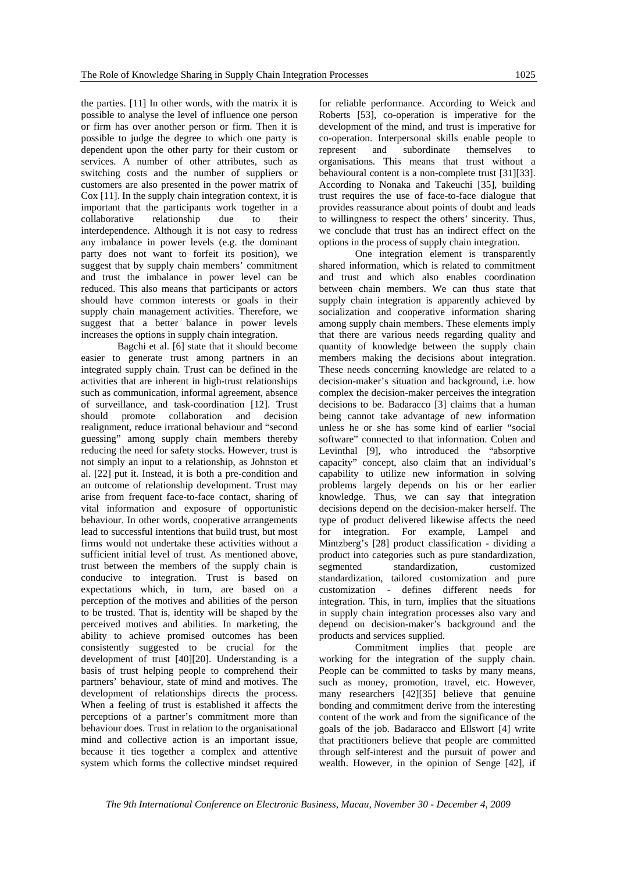the parties. [11] In other words, with the matrix it is possible to analyse the level of influence one person or firm has over another person or firm. Then it is possible to judge the degree to which one party is dependent upon the other party for their custom or services. A number of other attributes, such as switching costs and the number of suppliers or customers are also presented in the power matrix of Cox [11]. In the supply chain integration context, it is important that the participants work together in a collaborative relationship due to their interdependence. Although it is not easy to redress any imbalance in power levels (e.g. the dominant party does not want to forfeit its position), we suggest that by supply chain members' commitment and trust the imbalance in power level can be reduced. This also means that participants or actors should have common interests or goals in their supply chain management activities. Therefore, we suggest that a better balance in power levels increases the options in supply chain integration.

Bagchi et al. [6] state that it should become easier to generate trust among partners in an integrated supply chain. Trust can be defined in the activities that are inherent in high-trust relationships such as communication, informal agreement, absence of surveillance, and task-coordination [12]. Trust should promote collaboration and decision realignment, reduce irrational behaviour and "second guessing" among supply chain members thereby reducing the need for safety stocks. However, trust is not simply an input to a relationship, as Johnston et al. [22] put it. Instead, it is both a pre-condition and an outcome of relationship development. Trust may arise from frequent face-to-face contact, sharing of vital information and exposure of opportunistic behaviour. In other words, cooperative arrangements lead to successful intentions that build trust, but most firms would not undertake these activities without a sufficient initial level of trust. As mentioned above, trust between the members of the supply chain is conducive to integration. Trust is based on expectations which, in turn, are based on a perception of the motives and abilities of the person to be trusted. That is, identity will be shaped by the perceived motives and abilities. In marketing, the ability to achieve promised outcomes has been consistently suggested to be crucial for the development of trust [40][20]. Understanding is a basis of trust helping people to comprehend their partners' behaviour, state of mind and motives. The development of relationships directs the process. When a feeling of trust is established it affects the perceptions of a partner's commitment more than behaviour does. Trust in relation to the organisational mind and collective action is an important issue, because it ties together a complex and attentive system which forms the collective mindset required

for reliable performance. According to Weick and Roberts [53], co-operation is imperative for the development of the mind, and trust is imperative for co-operation. Interpersonal skills enable people to represent and subordinate themselves to organisations. This means that trust without a behavioural content is a non-complete trust [31][33]. According to Nonaka and Takeuchi [35], building trust requires the use of face-to-face dialogue that provides reassurance about points of doubt and leads to willingness to respect the others' sincerity. Thus, we conclude that trust has an indirect effect on the options in the process of supply chain integration.

One integration element is transparently shared information, which is related to commitment and trust and which also enables coordination between chain members. We can thus state that supply chain integration is apparently achieved by socialization and cooperative information sharing among supply chain members. These elements imply that there are various needs regarding quality and quantity of knowledge between the supply chain members making the decisions about integration. These needs concerning knowledge are related to a decision-maker's situation and background, i.e. how complex the decision-maker perceives the integration decisions to be. Badaracco [3] claims that a human being cannot take advantage of new information unless he or she has some kind of earlier "social software" connected to that information. Cohen and Levinthal [9], who introduced the "absorptive capacity" concept, also claim that an individual's capability to utilize new information in solving problems largely depends on his or her earlier knowledge. Thus, we can say that integration decisions depend on the decision-maker herself. The type of product delivered likewise affects the need for integration. For example, Lampel and Mintzberg's [28] product classification - dividing a product into categories such as pure standardization, segmented standardization, customized standardization, tailored customization and pure customization - defines different needs for integration. This, in turn, implies that the situations in supply chain integration processes also vary and depend on decision-maker's background and the products and services supplied.

Commitment implies that people are working for the integration of the supply chain*.*  People can be committed to tasks by many means, such as money, promotion, travel, etc. However, many researchers [42][35] believe that genuine bonding and commitment derive from the interesting content of the work and from the significance of the goals of the job. Badaracco and Ellswort [4] write that practitioners believe that people are committed through self-interest and the pursuit of power and wealth. However, in the opinion of Senge [42], if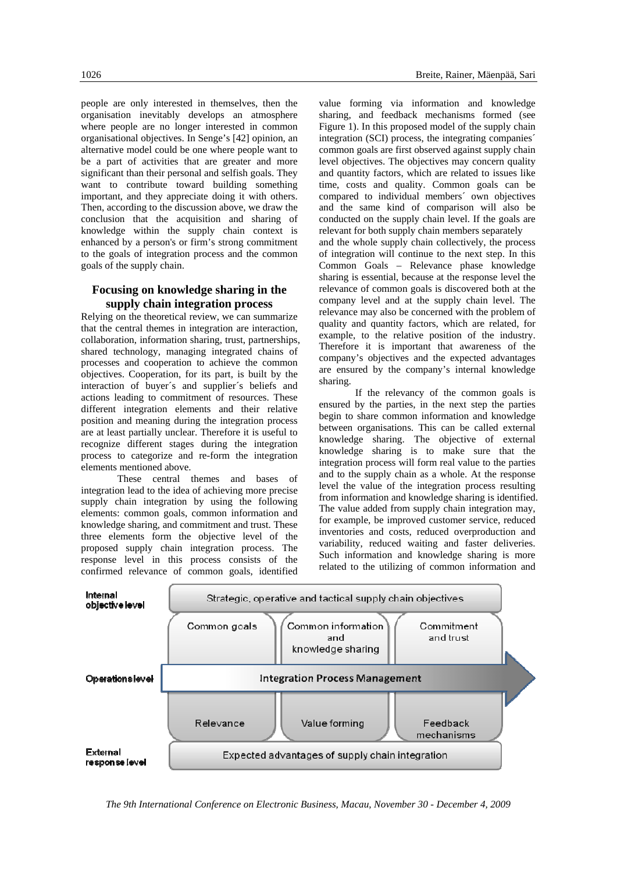people are only interested in themselves, then the organisation inevitably develops an atmosphere where people are no longer interested in common organisational objectives. In Senge's [42] opinion, an alternative model could be one where people want to be a part of activities that are greater and more significant than their personal and selfish goals. They want to contribute toward building something important, and they appreciate doing it with others. Then, according to the discussion above, we draw the conclusion that the acquisition and sharing of knowledge within the supply chain context is enhanced by a person's or firm's strong commitment to the goals of integration process and the common goals of the supply chain.

## **Focusing on knowledge sharing in the supply chain integration process**

Relying on the theoretical review, we can summarize that the central themes in integration are interaction, collaboration, information sharing, trust, partnerships, shared technology, managing integrated chains of processes and cooperation to achieve the common objectives. Cooperation, for its part, is built by the interaction of buyer´s and supplier´s beliefs and actions leading to commitment of resources. These different integration elements and their relative position and meaning during the integration process are at least partially unclear. Therefore it is useful to recognize different stages during the integration process to categorize and re-form the integration elements mentioned above.

These central themes and bases of integration lead to the idea of achieving more precise supply chain integration by using the following elements: common goals, common information and knowledge sharing, and commitment and trust. These three elements form the objective level of the proposed supply chain integration process. The response level in this process consists of the confirmed relevance of common goals, identified

value forming via information and knowledge sharing, and feedback mechanisms formed (see Figure 1). In this proposed model of the supply chain integration (SCI) process, the integrating companies´ common goals are first observed against supply chain level objectives. The objectives may concern quality and quantity factors, which are related to issues like time, costs and quality. Common goals can be compared to individual members´ own objectives and the same kind of comparison will also be conducted on the supply chain level. If the goals are relevant for both supply chain members separately and the whole supply chain collectively, the process of integration will continue to the next step. In this Common Goals – Relevance phase knowledge sharing is essential, because at the response level the relevance of common goals is discovered both at the company level and at the supply chain level. The relevance may also be concerned with the problem of quality and quantity factors, which are related, for example, to the relative position of the industry. Therefore it is important that awareness of the company's objectives and the expected advantages are ensured by the company's internal knowledge

sharing. If the relevancy of the common goals is ensured by the parties, in the next step the parties begin to share common information and knowledge between organisations. This can be called external knowledge sharing. The objective of external knowledge sharing is to make sure that the integration process will form real value to the parties and to the supply chain as a whole. At the response level the value of the integration process resulting from information and knowledge sharing is identified. The value added from supply chain integration may, for example, be improved customer service, reduced inventories and costs, reduced overproduction and variability, reduced waiting and faster deliveries. Such information and knowledge sharing is more related to the utilizing of common information and



*The 9th International Conference on Electronic Business, Macau, November 30 - December 4, 2009*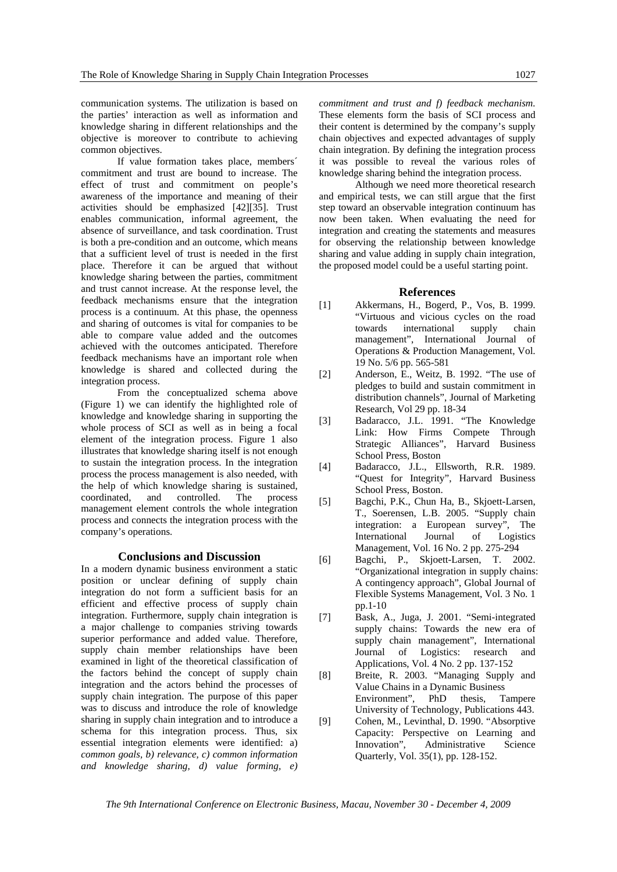communication systems. The utilization is based on the parties' interaction as well as information and knowledge sharing in different relationships and the objective is moreover to contribute to achieving common objectives.

If value formation takes place, members´ commitment and trust are bound to increase. The effect of trust and commitment on people's awareness of the importance and meaning of their activities should be emphasized [42][35]. Trust enables communication, informal agreement, the absence of surveillance, and task coordination. Trust is both a pre-condition and an outcome, which means that a sufficient level of trust is needed in the first place. Therefore it can be argued that without knowledge sharing between the parties, commitment and trust cannot increase. At the response level, the feedback mechanisms ensure that the integration process is a continuum. At this phase, the openness and sharing of outcomes is vital for companies to be able to compare value added and the outcomes achieved with the outcomes anticipated. Therefore feedback mechanisms have an important role when knowledge is shared and collected during the integration process.

From the conceptualized schema above (Figure 1) we can identify the highlighted role of knowledge and knowledge sharing in supporting the whole process of SCI as well as in being a focal element of the integration process. Figure 1 also illustrates that knowledge sharing itself is not enough to sustain the integration process. In the integration process the process management is also needed, with the help of which knowledge sharing is sustained, coordinated, and controlled. The process management element controls the whole integration process and connects the integration process with the company's operations.

#### **Conclusions and Discussion**

In a modern dynamic business environment a static position or unclear defining of supply chain integration do not form a sufficient basis for an efficient and effective process of supply chain integration. Furthermore, supply chain integration is a major challenge to companies striving towards superior performance and added value. Therefore, supply chain member relationships have been examined in light of the theoretical classification of the factors behind the concept of supply chain integration and the actors behind the processes of supply chain integration. The purpose of this paper was to discuss and introduce the role of knowledge sharing in supply chain integration and to introduce a schema for this integration process. Thus, six essential integration elements were identified: a) *common goals, b) relevance, c) common information and knowledge sharing, d) value forming, e)* 

*commitment and trust and f) feedback mechanism.* These elements form the basis of SCI process and their content is determined by the company's supply chain objectives and expected advantages of supply chain integration. By defining the integration process it was possible to reveal the various roles of knowledge sharing behind the integration process.

Although we need more theoretical research and empirical tests, we can still argue that the first step toward an observable integration continuum has now been taken. When evaluating the need for integration and creating the statements and measures for observing the relationship between knowledge sharing and value adding in supply chain integration, the proposed model could be a useful starting point.

#### **References**

- [1] Akkermans, H., Bogerd, P., Vos, B. 1999. "Virtuous and vicious cycles on the road towards international supply chain management", International Journal of Operations & Production Management, Vol. 19 No. 5/6 pp. 565-581
- [2] Anderson, E., Weitz, B. 1992. "The use of pledges to build and sustain commitment in distribution channels", Journal of Marketing Research, Vol 29 pp. 18-34
- [3] Badaracco, J.L. 1991. "The Knowledge Link: How Firms Compete Through Strategic Alliances", Harvard Business School Press, Boston
- [4] Badaracco, J.L., Ellsworth, R.R. 1989. "Quest for Integrity", Harvard Business School Press, Boston.
- [5] Bagchi, P.K., Chun Ha, B., Skjoett-Larsen, T., Soerensen, L.B. 2005. "Supply chain integration: a European survey", The International Journal of Logistics Management, Vol. 16 No. 2 pp. 275-294
- [6] Bagchi, P., Skjoett-Larsen, T. 2002. "Organizational integration in supply chains: A contingency approach", Global Journal of Flexible Systems Management, Vol. 3 No. 1 pp.1-10
- [7] Bask, A., Juga, J. 2001. "Semi-integrated supply chains: Towards the new era of supply chain management", International Journal of Logistics: research and Applications, Vol. 4 No. 2 pp. 137-152
- [8] Breite, R. 2003. "Managing Supply and Value Chains in a Dynamic Business Environment", PhD thesis, Tampere University of Technology, Publications 443.
- [9] Cohen, M., Levinthal, D. 1990. "Absorptive Capacity: Perspective on Learning and Innovation", Administrative Science Quarterly, Vol. 35(1), pp. 128-152.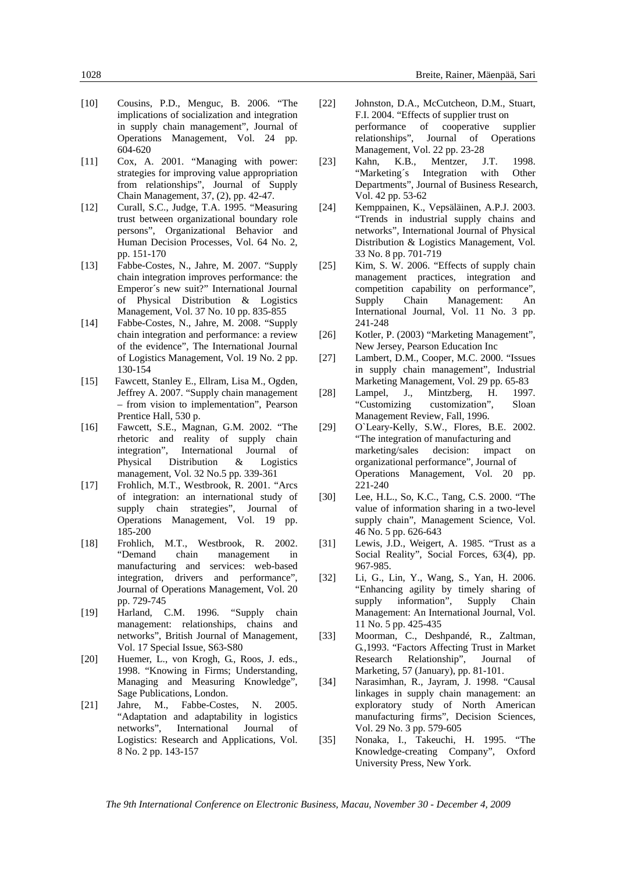- [10] Cousins, P.D., Menguc, B. 2006. "The implications of socialization and integration in supply chain management", Journal of Operations Management, Vol. 24 pp. 604-620
- [11] Cox, A. 2001. "Managing with power: strategies for improving value appropriation from relationships", Journal of Supply Chain Management, 37, (2), pp. 42-47.
- [12] Curall, S.C., Judge, T.A. 1995. "Measuring trust between organizational boundary role persons", Organizational Behavior and Human Decision Processes, Vol. 64 No. 2, pp. 151-170
- [13] Fabbe-Costes, N., Jahre, M. 2007. "Supply chain integration improves performance: the Emperor´s new suit?" International Journal of Physical Distribution & Logistics Management, Vol. 37 No. 10 pp. 835-855
- [14] Fabbe-Costes, N., Jahre, M. 2008. "Supply chain integration and performance: a review of the evidence", The International Journal of Logistics Management, Vol. 19 No. 2 pp. 130-154
- [15] Fawcett, Stanley E., Ellram, Lisa M., Ogden, Jeffrey A. 2007. "Supply chain management – from vision to implementation", Pearson Prentice Hall, 530 p.
- [16] Fawcett, S.E., Magnan, G.M. 2002. "The rhetoric and reality of supply chain integration", International Journal of Physical Distribution & Logistics management, Vol. 32 No.5 pp. 339-361
- [17] Frohlich, M.T., Westbrook, R. 2001. "Arcs of integration: an international study of supply chain strategies", Journal of Operations Management, Vol. 19 pp. 185-200
- [18] Frohlich, M.T., Westbrook, R. 2002. "Demand chain management in manufacturing and services: web-based integration, drivers and performance", Journal of Operations Management, Vol. 20 pp. 729-745
- [19] Harland, C.M. 1996. "Supply chain management: relationships, chains and networks", British Journal of Management, Vol. 17 Special Issue, S63-S80
- [20] Huemer, L., von Krogh, G., Roos, J. eds., 1998. "Knowing in Firms; Understanding, Managing and Measuring Knowledge", Sage Publications, London.
- [21] Jahre, M., Fabbe-Costes, N. 2005. "Adaptation and adaptability in logistics networks", International Journal of Logistics: Research and Applications, Vol. 8 No. 2 pp. 143-157
- [22] Johnston, D.A., McCutcheon, D.M., Stuart, F.I. 2004. "Effects of supplier trust on performance of cooperative supplier relationships", Journal of Operations Management, Vol. 22 pp. 23-28
- [23] Kahn, K.B., Mentzer, J.T. 1998. "Marketing´s Integration with Other Departments", Journal of Business Research, Vol. 42 pp. 53-62
- [24] Kemppainen, K., Vepsäläinen, A.P.J. 2003. "Trends in industrial supply chains and networks", International Journal of Physical Distribution & Logistics Management, Vol. 33 No. 8 pp. 701-719
- [25] Kim, S. W. 2006. "Effects of supply chain management practices, integration and competition capability on performance", Supply Chain Management: An International Journal, Vol. 11 No. 3 pp. 241-248
- [26] Kotler, P. (2003) "Marketing Management", New Jersey, Pearson Education Inc
- [27] Lambert, D.M., Cooper, M.C. 2000. "Issues in supply chain management", Industrial Marketing Management, Vol. 29 pp. 65-83
- [28] Lampel, J., Mintzberg, H. 1997. "Customizing customization", Sloan Management Review, Fall, 1996.
- [29] O`Leary-Kelly, S.W., Flores, B.E. 2002. "The integration of manufacturing and marketing/sales decision: impact on organizational performance", Journal of Operations Management, Vol. 20 pp. 221-240
- [30] Lee, H.L., So, K.C., Tang, C.S. 2000. "The value of information sharing in a two-level supply chain", Management Science, Vol. 46 No. 5 pp. 626-643
- [31] Lewis, J.D., Weigert, A. 1985. "Trust as a Social Reality", Social Forces, 63(4), pp. 967-985.
- [32] Li, G., Lin, Y., Wang, S., Yan, H. 2006. "Enhancing agility by timely sharing of supply information", Supply Chain Management: An International Journal, Vol. 11 No. 5 pp. 425-435
- [33] Moorman, C., Deshpandé, R., Zaltman, G.,1993. "Factors Affecting Trust in Market Research Relationship", Journal of Marketing, 57 (January), pp. 81-101.
- [34] Narasimhan, R., Jayram, J. 1998. "Causal linkages in supply chain management: an exploratory study of North American manufacturing firms", Decision Sciences, Vol. 29 No. 3 pp. 579-605
- [35] Nonaka, I., Takeuchi, H. 1995. "The Knowledge-creating Company", Oxford University Press, New York.

*The 9th International Conference on Electronic Business, Macau, November 30 - December 4, 2009*